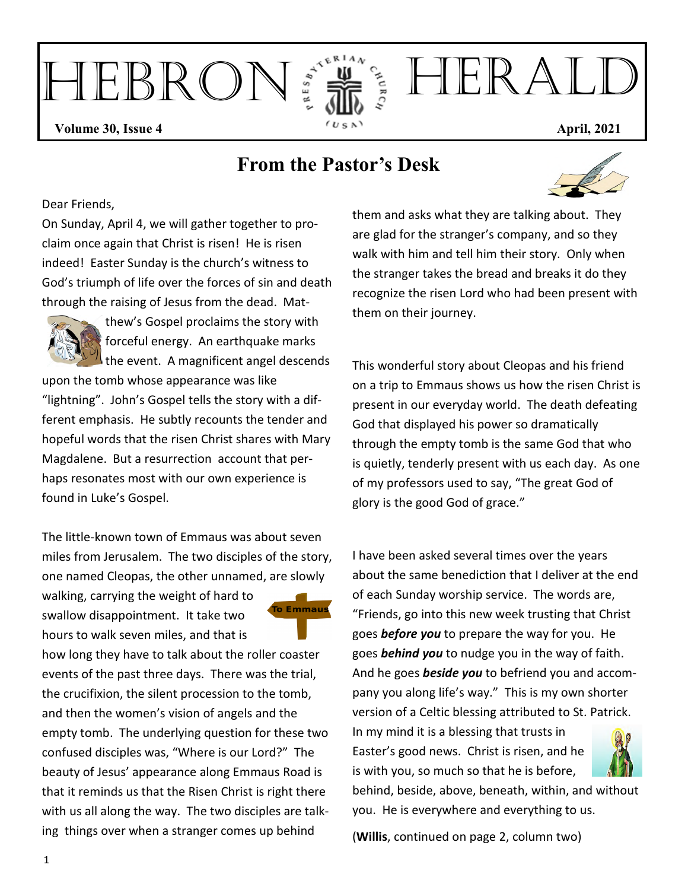

## **From the Pastor's Desk**



Dear Friends,

On Sunday, April 4, we will gather together to proclaim once again that Christ is risen! He is risen indeed! Easter Sunday is the church's witness to God's triumph of life over the forces of sin and death through the raising of Jesus from the dead. Mat-



thew's Gospel proclaims the story with forceful energy. An earthquake marks the event. A magnificent angel descends

upon the tomb whose appearance was like "lightning". John's Gospel tells the story with a different emphasis. He subtly recounts the tender and hopeful words that the risen Christ shares with Mary Magdalene. But a resurrection account that perhaps resonates most with our own experience is found in Luke's Gospel.

The little-known town of Emmaus was about seven miles from Jerusalem. The two disciples of the story, one named Cleopas, the other unnamed, are slowly

walking, carrying the weight of hard to swallow disappointment. It take two hours to walk seven miles, and that is



how long they have to talk about the roller coaster events of the past three days. There was the trial, the crucifixion, the silent procession to the tomb, and then the women's vision of angels and the empty tomb. The underlying question for these two confused disciples was, "Where is our Lord?" The beauty of Jesus' appearance along Emmaus Road is that it reminds us that the Risen Christ is right there with us all along the way. The two disciples are talking things over when a stranger comes up behind

them and asks what they are talking about. They are glad for the stranger's company, and so they walk with him and tell him their story. Only when the stranger takes the bread and breaks it do they recognize the risen Lord who had been present with them on their journey.

This wonderful story about Cleopas and his friend on a trip to Emmaus shows us how the risen Christ is present in our everyday world. The death defeating God that displayed his power so dramatically through the empty tomb is the same God that who is quietly, tenderly present with us each day. As one of my professors used to say, "The great God of glory is the good God of grace."

I have been asked several times over the years about the same benediction that I deliver at the end of each Sunday worship service. The words are, "Friends, go into this new week trusting that Christ goes *before you* to prepare the way for you. He goes *behind you* to nudge you in the way of faith. And he goes *beside you* to befriend you and accompany you along life's way." This is my own shorter version of a Celtic blessing attributed to St. Patrick.

In my mind it is a blessing that trusts in Easter's good news. Christ is risen, and he is with you, so much so that he is before,

behind, beside, above, beneath, within, and without you. He is everywhere and everything to us.

(**Willis**, continued on page 2, column two)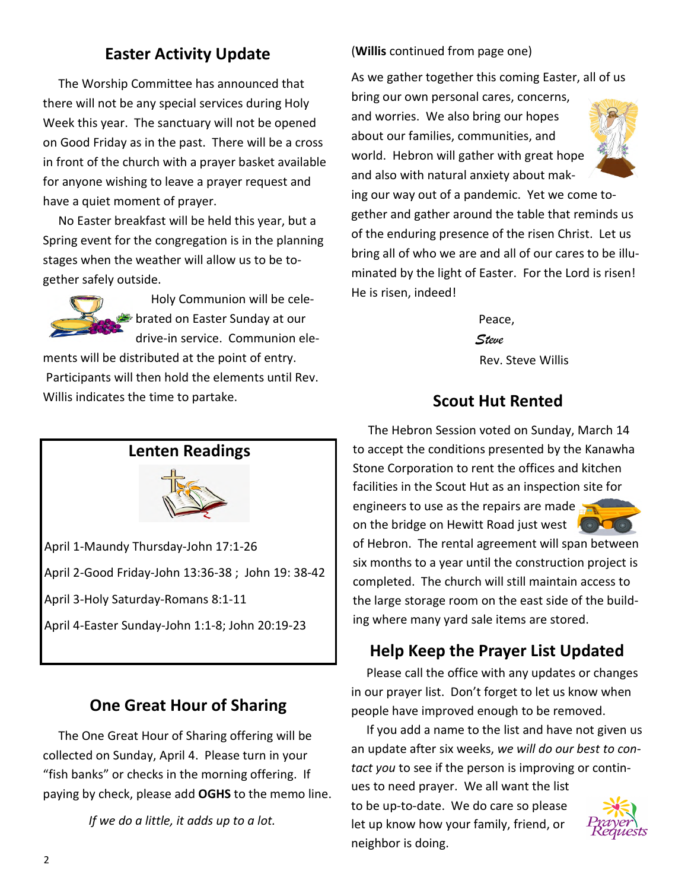## **Easter Activity Update**

 The Worship Committee has announced that there will not be any special services during Holy Week this year. The sanctuary will not be opened on Good Friday as in the past. There will be a cross in front of the church with a prayer basket available for anyone wishing to leave a prayer request and have a quiet moment of prayer.

 No Easter breakfast will be held this year, but a Spring event for the congregation is in the planning stages when the weather will allow us to be together safely outside.



 Holy Communion will be celebrated on Easter Sunday at our drive-in service. Communion ele-

ments will be distributed at the point of entry. Participants will then hold the elements until Rev. Willis indicates the time to partake.

## **Lenten Readings**



April 1-Maundy Thursday-John 17:1-26 April 2-Good Friday-John 13:36-38 ; John 19: 38-42 April 3-Holy Saturday-Romans 8:1-11 April 4-Easter Sunday-John 1:1-8; John 20:19-23

## **One Great Hour of Sharing**

 The One Great Hour of Sharing offering will be collected on Sunday, April 4. Please turn in your "fish banks" or checks in the morning offering. If paying by check, please add **OGHS** to the memo line.

 *If we do a little, it adds up to a lot.*

#### (**Willis** continued from page one)

As we gather together this coming Easter, all of us

bring our own personal cares, concerns, and worries. We also bring our hopes about our families, communities, and world. Hebron will gather with great hope and also with natural anxiety about mak-



ing our way out of a pandemic. Yet we come together and gather around the table that reminds us of the enduring presence of the risen Christ. Let us bring all of who we are and all of our cares to be illuminated by the light of Easter. For the Lord is risen! He is risen, indeed!

> Peace,  *Steve*  Rev. Steve Willis

## **Scout Hut Rented**

 The Hebron Session voted on Sunday, March 14 to accept the conditions presented by the Kanawha Stone Corporation to rent the offices and kitchen facilities in the Scout Hut as an inspection site for engineers to use as the repairs are made on the bridge on Hewitt Road just west **Algement** 



of Hebron. The rental agreement will span between six months to a year until the construction project is completed. The church will still maintain access to the large storage room on the east side of the building where many yard sale items are stored.

## **Help Keep the Prayer List Updated**

 Please call the office with any updates or changes in our prayer list. Don't forget to let us know when people have improved enough to be removed.

 If you add a name to the list and have not given us an update after six weeks, *we will do our best to contact you* to see if the person is improving or contin-

ues to need prayer. We all want the list to be up-to-date. We do care so please let up know how your family, friend, or neighbor is doing.

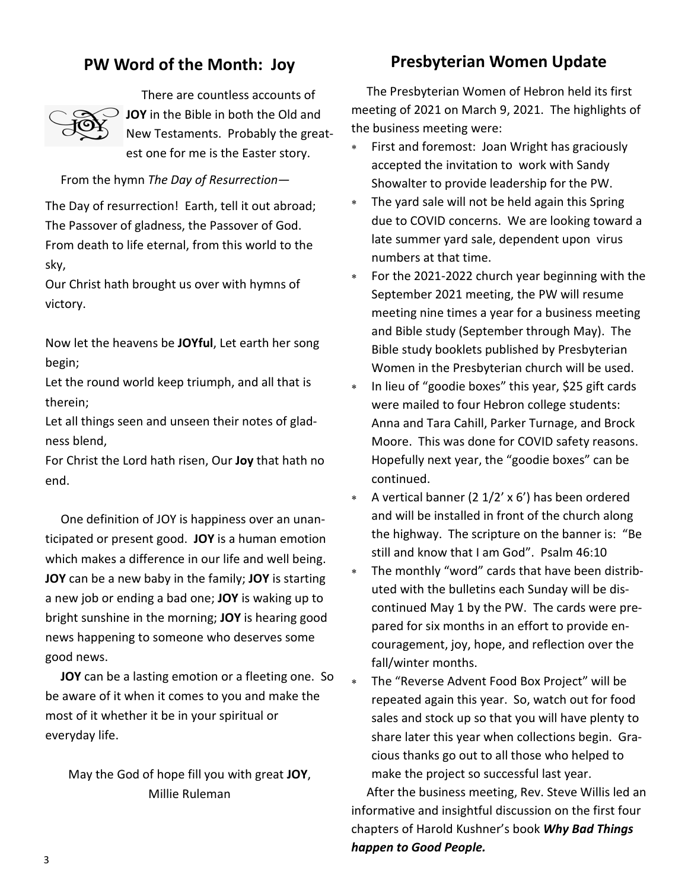## **PW Word of the Month: Joy**



 There are countless accounts of **JOY** in the Bible in both the Old and New Testaments. Probably the greatest one for me is the Easter story.

From the hymn *The Day of Resurrection—* 

The Day of resurrection! Earth, tell it out abroad; The Passover of gladness, the Passover of God. From death to life eternal, from this world to the sky,

Our Christ hath brought us over with hymns of victory.

Now let the heavens be **JOYful**, Let earth her song begin;

Let the round world keep triumph, and all that is therein;

Let all things seen and unseen their notes of gladness blend,

For Christ the Lord hath risen, Our **Joy** that hath no end.

 One definition of JOY is happiness over an unanticipated or present good. **JOY** is a human emotion which makes a difference in our life and well being. **JOY** can be a new baby in the family; **JOY** is starting a new job or ending a bad one; **JOY** is waking up to bright sunshine in the morning; **JOY** is hearing good news happening to someone who deserves some good news.

 **JOY** can be a lasting emotion or a fleeting one. So be aware of it when it comes to you and make the most of it whether it be in your spiritual or everyday life.

May the God of hope fill you with great **JOY**, Millie Ruleman

### **Presbyterian Women Update**

 The Presbyterian Women of Hebron held its first meeting of 2021 on March 9, 2021. The highlights of the business meeting were:

- ∗ First and foremost: Joan Wright has graciously accepted the invitation to work with Sandy Showalter to provide leadership for the PW.
- The yard sale will not be held again this Spring due to COVID concerns. We are looking toward a late summer yard sale, dependent upon virus numbers at that time.
- For the 2021-2022 church year beginning with the September 2021 meeting, the PW will resume meeting nine times a year for a business meeting and Bible study (September through May). The Bible study booklets published by Presbyterian Women in the Presbyterian church will be used.
- ∗ In lieu of "goodie boxes" this year, \$25 gift cards were mailed to four Hebron college students: Anna and Tara Cahill, Parker Turnage, and Brock Moore. This was done for COVID safety reasons. Hopefully next year, the "goodie boxes" can be continued.
- A vertical banner (2  $1/2'$  x 6') has been ordered and will be installed in front of the church along the highway. The scripture on the banner is: "Be still and know that I am God". Psalm 46:10
- The monthly "word" cards that have been distributed with the bulletins each Sunday will be discontinued May 1 by the PW. The cards were prepared for six months in an effort to provide encouragement, joy, hope, and reflection over the fall/winter months.
- The "Reverse Advent Food Box Project" will be repeated again this year. So, watch out for food sales and stock up so that you will have plenty to share later this year when collections begin. Gracious thanks go out to all those who helped to make the project so successful last year.

 After the business meeting, Rev. Steve Willis led an informative and insightful discussion on the first four chapters of Harold Kushner's book *Why Bad Things happen to Good People.*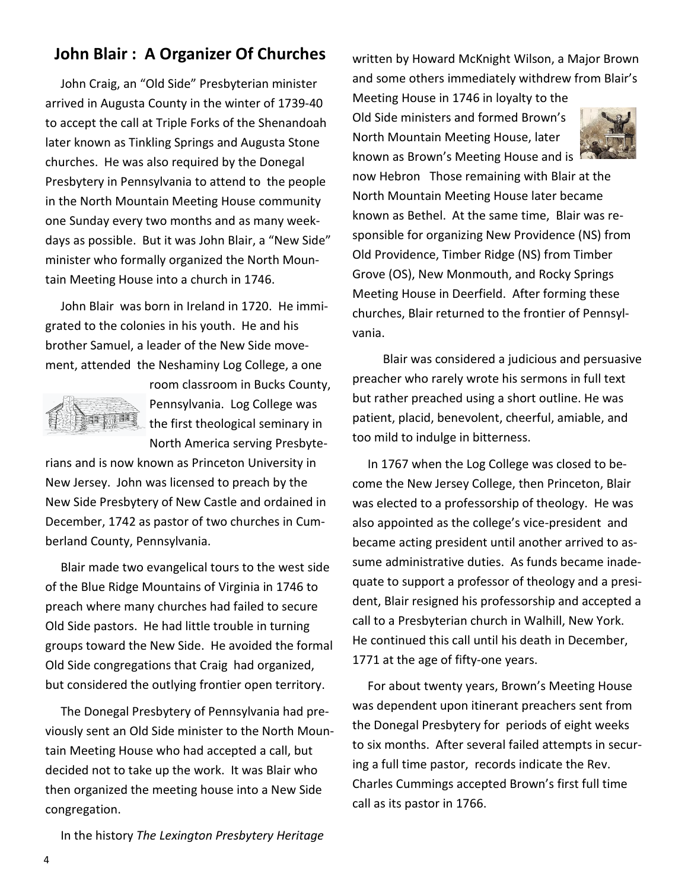## **John Blair : A Organizer Of Churches**

 John Craig, an "Old Side" Presbyterian minister arrived in Augusta County in the winter of 1739-40 to accept the call at Triple Forks of the Shenandoah later known as Tinkling Springs and Augusta Stone churches. He was also required by the Donegal Presbytery in Pennsylvania to attend to the people in the North Mountain Meeting House community one Sunday every two months and as many weekdays as possible. But it was John Blair, a "New Side" minister who formally organized the North Mountain Meeting House into a church in 1746.

 John Blair was born in Ireland in 1720. He immigrated to the colonies in his youth. He and his brother Samuel, a leader of the New Side movement, attended the Neshaminy Log College, a one



room classroom in Bucks County, Pennsylvania. Log College was the first theological seminary in North America serving Presbyte-

rians and is now known as Princeton University in New Jersey. John was licensed to preach by the New Side Presbytery of New Castle and ordained in December, 1742 as pastor of two churches in Cumberland County, Pennsylvania.

 Blair made two evangelical tours to the west side of the Blue Ridge Mountains of Virginia in 1746 to preach where many churches had failed to secure Old Side pastors. He had little trouble in turning groups toward the New Side. He avoided the formal Old Side congregations that Craig had organized, but considered the outlying frontier open territory.

 The Donegal Presbytery of Pennsylvania had previously sent an Old Side minister to the North Mountain Meeting House who had accepted a call, but decided not to take up the work. It was Blair who then organized the meeting house into a New Side congregation.

written by Howard McKnight Wilson, a Major Brown and some others immediately withdrew from Blair's

Meeting House in 1746 in loyalty to the Old Side ministers and formed Brown's North Mountain Meeting House, later known as Brown's Meeting House and is



now Hebron Those remaining with Blair at the North Mountain Meeting House later became known as Bethel. At the same time, Blair was responsible for organizing New Providence (NS) from Old Providence, Timber Ridge (NS) from Timber Grove (OS), New Monmouth, and Rocky Springs Meeting House in Deerfield. After forming these churches, Blair returned to the frontier of Pennsylvania.

 Blair was considered a judicious and persuasive preacher who rarely wrote his sermons in full text but rather preached using a short outline. He was patient, placid, benevolent, cheerful, amiable, and too mild to indulge in bitterness.

 In 1767 when the Log College was closed to become the New Jersey College, then Princeton, Blair was elected to a professorship of theology. He was also appointed as the college's vice-president and became acting president until another arrived to assume administrative duties. As funds became inadequate to support a professor of theology and a president, Blair resigned his professorship and accepted a call to a Presbyterian church in Walhill, New York. He continued this call until his death in December, 1771 at the age of fifty-one years.

 For about twenty years, Brown's Meeting House was dependent upon itinerant preachers sent from the Donegal Presbytery for periods of eight weeks to six months. After several failed attempts in securing a full time pastor, records indicate the Rev. Charles Cummings accepted Brown's first full time call as its pastor in 1766.

In the history *The Lexington Presbytery Heritage*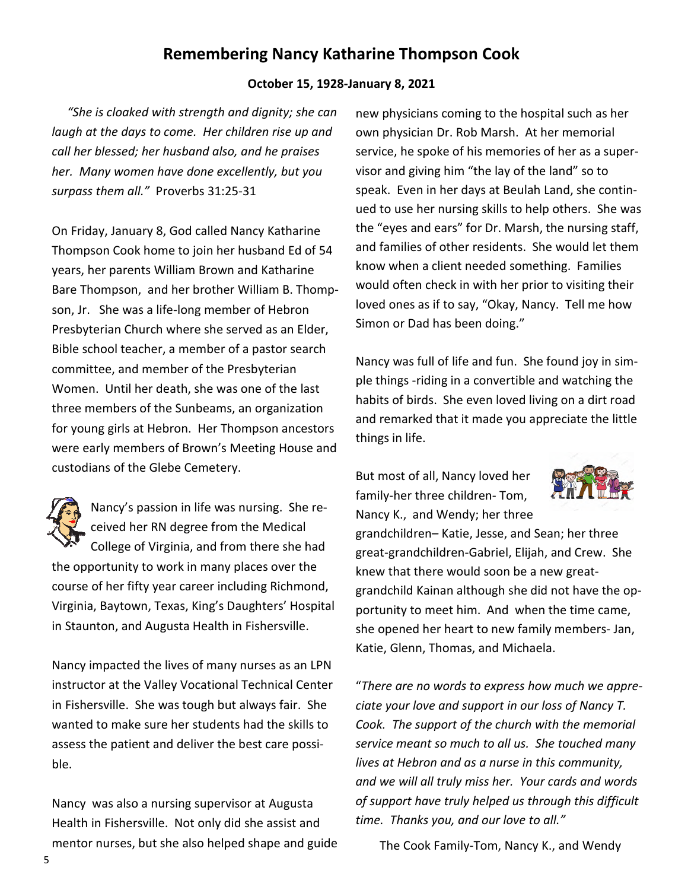## **Remembering Nancy Katharine Thompson Cook**

#### **October 15, 1928-January 8, 2021**

 *"She is cloaked with strength and dignity; she can laugh at the days to come. Her children rise up and call her blessed; her husband also, and he praises her. Many women have done excellently, but you surpass them all."* Proverbs 31:25-31

On Friday, January 8, God called Nancy Katharine Thompson Cook home to join her husband Ed of 54 years, her parents William Brown and Katharine Bare Thompson, and her brother William B. Thompson, Jr. She was a life-long member of Hebron Presbyterian Church where she served as an Elder, Bible school teacher, a member of a pastor search committee, and member of the Presbyterian Women. Until her death, she was one of the last three members of the Sunbeams, an organization for young girls at Hebron. Her Thompson ancestors were early members of Brown's Meeting House and custodians of the Glebe Cemetery.



Nancy's passion in life was nursing. She received her RN degree from the Medical College of Virginia, and from there she had the opportunity to work in many places over the course of her fifty year career including Richmond, Virginia, Baytown, Texas, King's Daughters' Hospital in Staunton, and Augusta Health in Fishersville.

Nancy impacted the lives of many nurses as an LPN instructor at the Valley Vocational Technical Center in Fishersville. She was tough but always fair. She wanted to make sure her students had the skills to assess the patient and deliver the best care possible.

Nancy was also a nursing supervisor at Augusta Health in Fishersville. Not only did she assist and mentor nurses, but she also helped shape and guide new physicians coming to the hospital such as her own physician Dr. Rob Marsh. At her memorial service, he spoke of his memories of her as a supervisor and giving him "the lay of the land" so to speak. Even in her days at Beulah Land, she continued to use her nursing skills to help others. She was the "eyes and ears" for Dr. Marsh, the nursing staff, and families of other residents. She would let them know when a client needed something. Families would often check in with her prior to visiting their loved ones as if to say, "Okay, Nancy. Tell me how Simon or Dad has been doing."

Nancy was full of life and fun. She found joy in simple things -riding in a convertible and watching the habits of birds. She even loved living on a dirt road and remarked that it made you appreciate the little things in life.

But most of all, Nancy loved her family-her three children- Tom, Nancy K., and Wendy; her three



grandchildren– Katie, Jesse, and Sean; her three great-grandchildren-Gabriel, Elijah, and Crew. She knew that there would soon be a new greatgrandchild Kainan although she did not have the opportunity to meet him. And when the time came, she opened her heart to new family members- Jan, Katie, Glenn, Thomas, and Michaela.

"*There are no words to express how much we appreciate your love and support in our loss of Nancy T. Cook. The support of the church with the memorial service meant so much to all us. She touched many lives at Hebron and as a nurse in this community, and we will all truly miss her. Your cards and words of support have truly helped us through this difficult time. Thanks you, and our love to all."* 

The Cook Family-Tom, Nancy K., and Wendy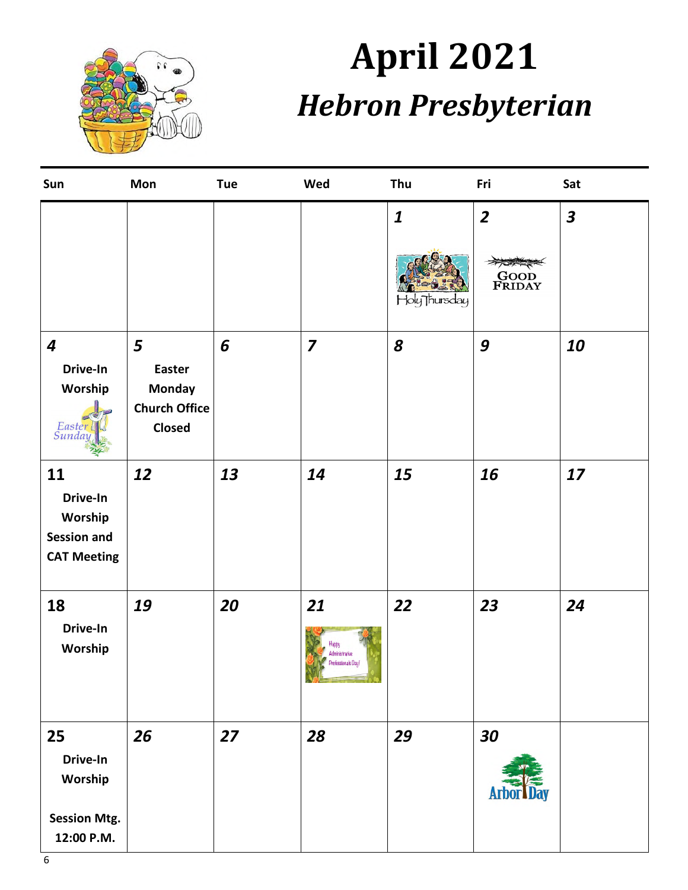

# **April 2021**  *Hebron Presbyterian*

| Sun                                                                   | Mon                                                                          | <b>Tue</b> | Wed                                                                                                                                                     | Thu                               | Fri                                     | Sat                     |
|-----------------------------------------------------------------------|------------------------------------------------------------------------------|------------|---------------------------------------------------------------------------------------------------------------------------------------------------------|-----------------------------------|-----------------------------------------|-------------------------|
|                                                                       |                                                                              |            |                                                                                                                                                         | $\boldsymbol{1}$<br>Holy Thursday | $\overline{2}$<br><b>GOOD</b><br>FRIDAY | $\overline{\mathbf{3}}$ |
| $\boldsymbol{4}$<br>Drive-In<br>Worship<br>Easter<br>Sunday           | 5<br><b>Easter</b><br><b>Monday</b><br><b>Church Office</b><br><b>Closed</b> | 6          | $\overline{\mathbf{z}}$                                                                                                                                 | 8                                 | 9                                       | 10                      |
| 11<br>Drive-In<br>Worship<br><b>Session and</b><br><b>CAT Meeting</b> | 12                                                                           | 13         | 14                                                                                                                                                      | 15                                | 16                                      | 17                      |
| 18<br>Drive-In<br>Worship                                             | 19                                                                           | 20         | 21<br>Administrative<br>Professionals Day!<br>$\lambda$ , $\lambda$ , $\lambda$ , $\lambda$ , $\lambda$ , $\lambda$ , $\lambda$ , $\lambda$ , $\lambda$ | 22                                | 23                                      | 24                      |
| 25<br>Drive-In<br>Worship<br><b>Session Mtg.</b><br>12:00 P.M.        | 26                                                                           | 27         | 28                                                                                                                                                      | 29                                | 30<br><b>AM</b>                         |                         |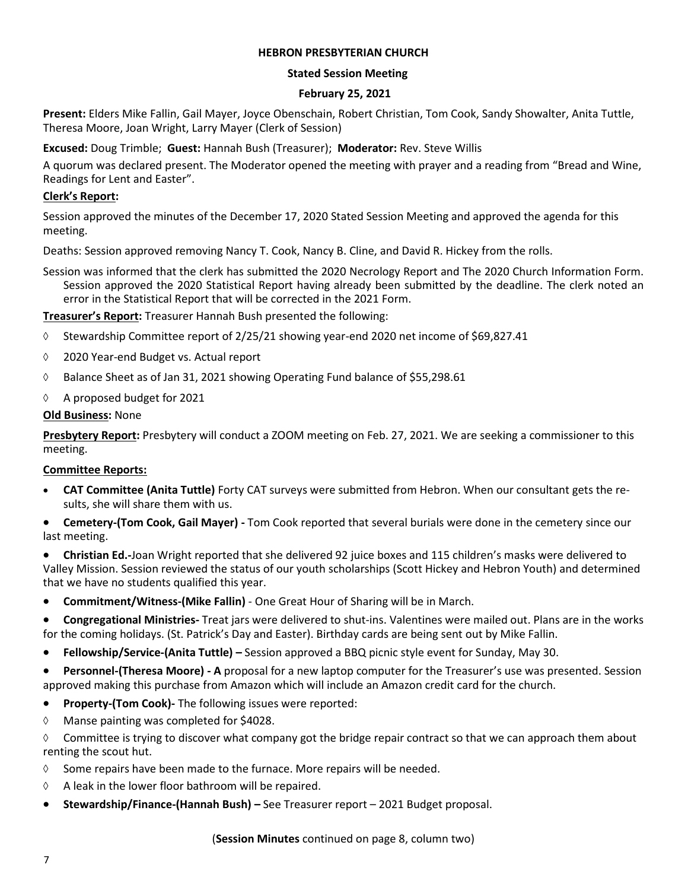#### **HEBRON PRESBYTERIAN CHURCH**

#### **Stated Session Meeting**

#### **February 25, 2021**

**Present:** Elders Mike Fallin, Gail Mayer, Joyce Obenschain, Robert Christian, Tom Cook, Sandy Showalter, Anita Tuttle, Theresa Moore, Joan Wright, Larry Mayer (Clerk of Session)

**Excused:** Doug Trimble; **Guest:** Hannah Bush (Treasurer); **Moderator:** Rev. Steve Willis

A quorum was declared present. The Moderator opened the meeting with prayer and a reading from "Bread and Wine, Readings for Lent and Easter".

#### **Clerk's Report:**

Session approved the minutes of the December 17, 2020 Stated Session Meeting and approved the agenda for this meeting.

Deaths: Session approved removing Nancy T. Cook, Nancy B. Cline, and David R. Hickey from the rolls.

Session was informed that the clerk has submitted the 2020 Necrology Report and The 2020 Church Information Form. Session approved the 2020 Statistical Report having already been submitted by the deadline. The clerk noted an error in the Statistical Report that will be corrected in the 2021 Form.

**Treasurer's Report:** Treasurer Hannah Bush presented the following:

- ◊ Stewardship Committee report of 2/25/21 showing year-end 2020 net income of \$69,827.41
- ◊ 2020 Year-end Budget vs. Actual report
- ◊ Balance Sheet as of Jan 31, 2021 showing Operating Fund balance of \$55,298.61
- ◊ A proposed budget for 2021

#### **Old Business:** None

**Presbytery Report:** Presbytery will conduct a ZOOM meeting on Feb. 27, 2021. We are seeking a commissioner to this meeting.

#### **Committee Reports:**

- **CAT Committee (Anita Tuttle)** Forty CAT surveys were submitted from Hebron. When our consultant gets the results, she will share them with us.
- **Cemetery-(Tom Cook, Gail Mayer)** Tom Cook reported that several burials were done in the cemetery since our last meeting.
- **Christian Ed.-**Joan Wright reported that she delivered 92 juice boxes and 115 children's masks were delivered to Valley Mission. Session reviewed the status of our youth scholarships (Scott Hickey and Hebron Youth) and determined that we have no students qualified this year.
- **Commitment/Witness-(Mike Fallin)**  One Great Hour of Sharing will be in March.
- **Congregational Ministries-** Treat jars were delivered to shut-ins. Valentines were mailed out. Plans are in the works for the coming holidays. (St. Patrick's Day and Easter). Birthday cards are being sent out by Mike Fallin.
- **Fellowship/Service-(Anita Tuttle)** Session approved a BBQ picnic style event for Sunday, May 30.
- **Personnel-(Theresa Moore) A** proposal for a new laptop computer for the Treasurer's use was presented. Session approved making this purchase from Amazon which will include an Amazon credit card for the church.
- **Property-(Tom Cook)-** The following issues were reported:
- ◊ Manse painting was completed for \$4028.

 $\Diamond$  Committee is trying to discover what company got the bridge repair contract so that we can approach them about renting the scout hut.

- $\diamond$  Some repairs have been made to the furnace. More repairs will be needed.
- ◊ A leak in the lower floor bathroom will be repaired.
- **Stewardship/Finance-(Hannah Bush) –** See Treasurer report 2021 Budget proposal.